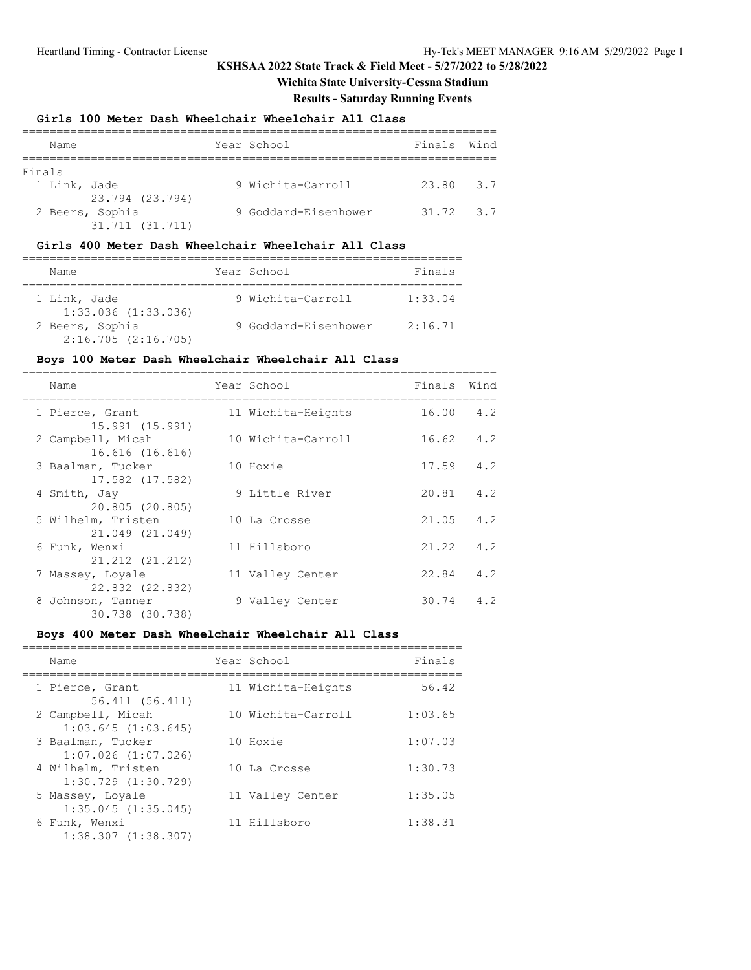**Wichita State University-Cessna Stadium**

### **Results - Saturday Running Events**

#### **Girls 100 Meter Dash Wheelchair Wheelchair All Class**

| Name         |                 | Year School          | Finals Wind   |  |
|--------------|-----------------|----------------------|---------------|--|
|              |                 |                      |               |  |
| Finals       |                 |                      |               |  |
| 1 Link, Jade |                 | 9 Wichita-Carroll    | 23.80 3.7     |  |
|              | 23.794 (23.794) |                      |               |  |
|              | 2 Beers, Sophia | 9 Goddard-Eisenhower | $31.72$ $3.7$ |  |
|              | 31.711 (31.711) |                      |               |  |

#### **Girls 400 Meter Dash Wheelchair Wheelchair All Class**

| Name                                    | Year School          | Finals  |
|-----------------------------------------|----------------------|---------|
| 1 Link, Jade<br>$1:33.036$ $(1:33.036)$ | 9 Wichita-Carroll    | 1:33.04 |
| 2 Beers, Sophia<br>2:16.705(2:16.705)   | 9 Goddard-Eisenhower | 2:16.71 |

#### **Boys 100 Meter Dash Wheelchair Wheelchair All Class**

| Name                                  | Year School        | Finals | Wind |
|---------------------------------------|--------------------|--------|------|
| 1 Pierce, Grant<br>15.991 (15.991)    | 11 Wichita-Heights | 16.00  | 4.2  |
| 2 Campbell, Micah<br>16.616 (16.616)  | 10 Wichita-Carroll | 16.62  | 4.2  |
| 3 Baalman, Tucker<br>17.582 (17.582)  | 10 Hoxie           | 17.59  | 4.2  |
| 4 Smith, Jay<br>20.805 (20.805)       | 9 Little River     | 20.81  | 4.2  |
| 5 Wilhelm, Tristen<br>21.049 (21.049) | 10 La Crosse       | 21.05  | 4.2  |
| 6 Funk, Wenxi<br>21.212 (21.212)      | 11 Hillsboro       | 21.22  | 4.2  |
| 7 Massey, Loyale<br>22.832 (22.832)   | 11 Valley Center   | 22.84  | 4.2  |
| 8 Johnson, Tanner<br>30.738 (30.738)  | 9 Valley Center    | 30.74  | 4.2  |

### **Boys 400 Meter Dash Wheelchair Wheelchair All Class**

| Name                                          | Year School        | Finals  |
|-----------------------------------------------|--------------------|---------|
| 1 Pierce, Grant<br>56.411 (56.411)            | 11 Wichita-Heights | 56.42   |
| 2 Campbell, Micah<br>$1:03.645$ $(1:03.645)$  | 10 Wichita-Carroll | 1:03.65 |
| 3 Baalman, Tucker<br>$1:07.026$ $(1:07.026)$  | 10 Hoxie           | 1:07.03 |
| 4 Wilhelm, Tristen<br>$1:30.729$ $(1:30.729)$ | 10 La Crosse       | 1:30.73 |
| 5 Massey, Loyale<br>$1:35.045$ $(1:35.045)$   | 11 Valley Center   | 1:35.05 |
| 6 Funk, Wenxi<br>$1:38.307$ $(1:38.307)$      | 11 Hillsboro       | 1:38.31 |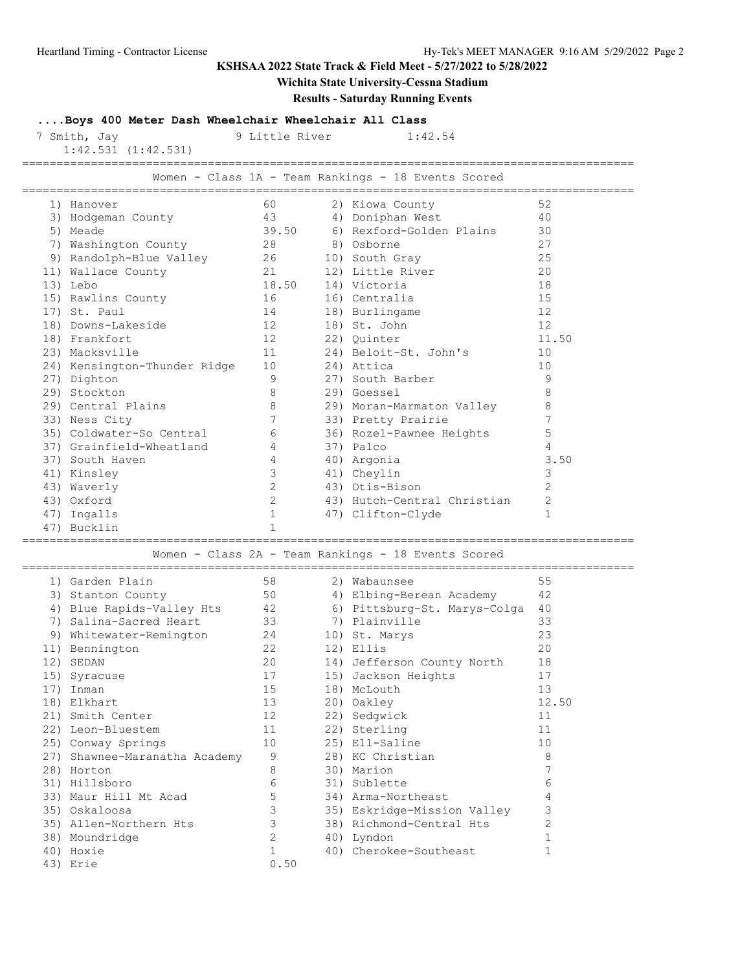43) Erie 0.50

## **KSHSAA 2022 State Track & Field Meet - 5/27/2022 to 5/28/2022**

# **Wichita State University-Cessna Stadium**

### **Results - Saturday Running Events**

**....Boys 400 Meter Dash Wheelchair Wheelchair All Class**

| 7 Smith, Jay<br>$1:42.531$ $(1:42.531)$   |    | 9 Little River | 1:42.54                                             |                |
|-------------------------------------------|----|----------------|-----------------------------------------------------|----------------|
|                                           |    |                | Women - Class 1A - Team Rankings - 18 Events Scored |                |
| 1) Hanover                                | 60 |                | 2) Kiowa County                                     | 52             |
| 3) Hodgeman County                        | 43 |                | 4) Doniphan West                                    | 40             |
| 5) Meade                                  |    | 39.50          | 6) Rexford-Golden Plains                            | 30             |
| 7) Washington County                      | 28 |                | 8) Osborne                                          | 27             |
| 9) Randolph-Blue Valley                   | 26 |                | 10) South Gray                                      | 25             |
| 11) Wallace County                        | 21 |                | 12) Little River                                    | 20             |
| 13) Lebo                                  |    | 18.50          | 14) Victoria                                        | 18             |
| 15) Rawlins County                        | 16 |                | 16) Centralia                                       | 15             |
| 17) St. Paul                              | 14 |                | 18) Burlingame                                      | 12             |
| 18) Downs-Lakeside                        | 12 |                | 18) St. John                                        | 12             |
| 18) Frankfort                             | 12 |                | 22) Quinter                                         | 11.50          |
| 23) Macksville                            | 11 |                | 24) Beloit-St. John's                               | 10             |
| 24) Kensington-Thunder Ridge              | 10 |                | 24) Attica                                          | 10             |
| 27) Dighton                               |    | 9              | 27) South Barber                                    | 9              |
| 29) Stockton                              |    | 8              | 29) Goessel                                         | 8              |
| 29) Central Plains                        |    | 8              | 29) Moran-Marmaton Valley                           | 8              |
|                                           |    | 7              | 33) Pretty Prairie                                  | 7              |
| 33) Ness City<br>35) Coldwater-So Central |    |                |                                                     | 5              |
|                                           |    | 6              | 36) Rozel-Pawnee Heights                            |                |
| 37) Grainfield-Wheatland                  |    | 4              | 37) Palco                                           | 4              |
| 37) South Haven                           |    | 4              | 40) Argonia                                         | 3.50           |
| 41) Kinsley                               |    | 3              | 41) Cheylin                                         | 3              |
| 43) Waverly                               |    | $\mathbf{2}$   | 43) Otis-Bison                                      | 2              |
| 43) Oxford                                |    | 2              | 43) Hutch-Central Christian                         | $\overline{2}$ |
| 47) Ingalls                               |    | $\mathbf{1}$   | 47) Clifton-Clyde                                   | $\mathbf{1}$   |
| 47) Bucklin                               |    |                |                                                     |                |
|                                           |    |                | Women - Class 2A - Team Rankings - 18 Events Scored |                |
| 1) Garden Plain                           | 58 |                | 2) Wabaunsee                                        | 55             |
| 3) Stanton County                         | 50 |                | 4) Elbing-Berean Academy                            | 42             |
| 4) Blue Rapids-Valley Hts                 | 42 |                | 6) Pittsburg-St. Marys-Colga                        | 40             |
| 7) Salina-Sacred Heart                    | 33 |                | 7) Plainville                                       | 33             |
| 9) Whitewater-Remington                   | 24 |                | 10) St. Marys                                       | 23             |
| 11) Bennington                            | 22 |                | 12) Ellis                                           | 20             |
| 12) SEDAN                                 | 20 |                | 14) Jefferson County North                          | 18             |
| 15) Syracuse                              | 17 |                | 15) Jackson Heights                                 | $17\,$         |
| 17) Inman                                 | 15 |                | 18) McLouth                                         | 13             |
| 18) Elkhart                               | 13 |                | 20) Oakley                                          | 12.50          |
| 21) Smith Center                          | 12 |                | 22) Sedgwick                                        | 11             |
| 22) Leon-Bluestem                         | 11 |                | 22) Sterling                                        | 11             |
| 25) Conway Springs                        | 10 |                | 25) Ell-Saline                                      | 10             |
| 27) Shawnee-Maranatha Academy             |    | 9              | 28) KC Christian                                    | 8              |
| 28) Horton                                |    | 8              | 30) Marion                                          | 7              |
| 31) Hillsboro                             |    | 6              | 31) Sublette                                        | 6              |
| 33) Maur Hill Mt Acad                     |    | 5              | 34) Arma-Northeast                                  | 4              |
| 35) Oskaloosa                             |    | 3              | 35) Eskridge-Mission Valley                         | 3              |
| 35) Allen-Northern Hts                    |    | 3              | 38) Richmond-Central Hts                            | $\overline{c}$ |
| 38) Moundridge                            |    | $\overline{c}$ | 40) Lyndon                                          | $\mathbf{1}$   |
|                                           |    |                |                                                     |                |
| 40) Hoxie                                 |    | $\mathbf{1}$   | 40) Cherokee-Southeast                              | $\mathbf{1}$   |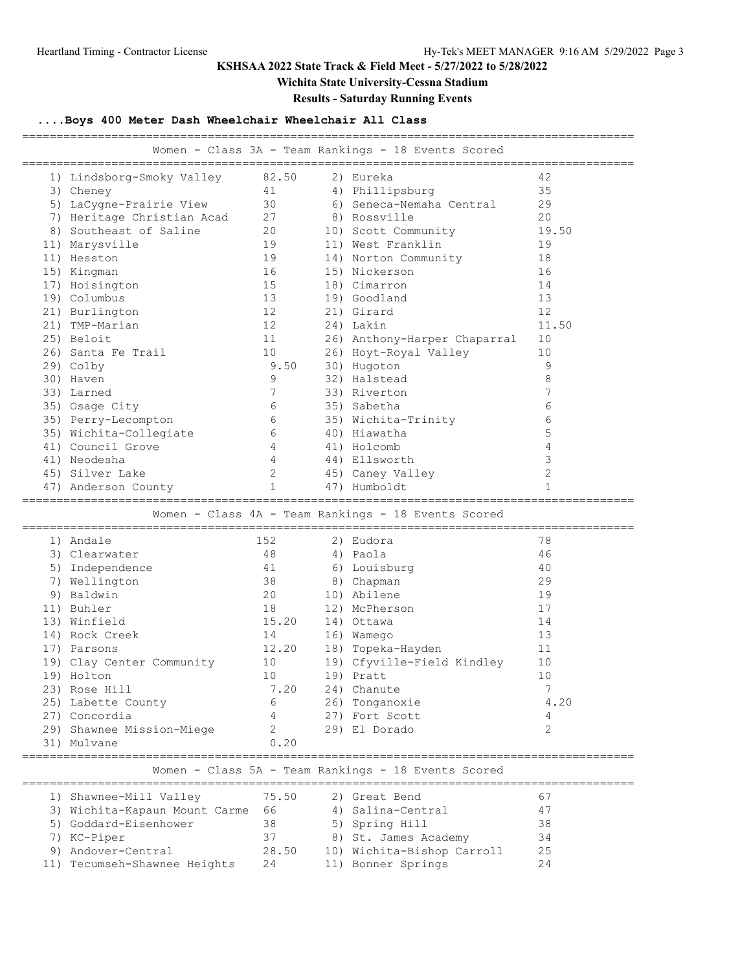## **Wichita State University-Cessna Stadium**

**Results - Saturday Running Events**

## **....Boys 400 Meter Dash Wheelchair Wheelchair All Class**

|                                                     | Women - Class 3A - Team Rankings - 18 Events Scored<br>----------------------------------- |              |  |                                                     |                |  |  |
|-----------------------------------------------------|--------------------------------------------------------------------------------------------|--------------|--|-----------------------------------------------------|----------------|--|--|
|                                                     | 1) Lindsborg-Smoky Valley                                                                  | 82.50        |  | 2) Eureka                                           | 42             |  |  |
|                                                     | 3) Cheney                                                                                  | 41           |  | 4) Phillipsburg                                     | 35             |  |  |
|                                                     | 5) LaCygne-Prairie View                                                                    | 30           |  | 6) Seneca-Nemaha Central                            | 29             |  |  |
|                                                     | 7) Heritage Christian Acad                                                                 | 27           |  | 8) Rossville                                        | 20             |  |  |
|                                                     | 8) Southeast of Saline                                                                     | 20           |  | 10) Scott Community                                 | 19.50          |  |  |
|                                                     | 11) Marysville                                                                             | 19           |  | 11) West Franklin                                   | 19             |  |  |
|                                                     | 11) Hesston                                                                                | 19           |  | 14) Norton Community                                | 18             |  |  |
|                                                     | 15) Kingman                                                                                | 16           |  | 15) Nickerson                                       | 16             |  |  |
|                                                     | 17) Hoisington                                                                             | 15           |  | 18) Cimarron                                        | 14             |  |  |
|                                                     | 19) Columbus                                                                               | 13           |  | 19) Goodland                                        | 13             |  |  |
|                                                     | 21) Burlington                                                                             | 12           |  | 21) Girard                                          | 12             |  |  |
|                                                     | 21) TMP-Marian                                                                             | 12           |  | 24) Lakin                                           | 11.50          |  |  |
|                                                     | 25) Beloit                                                                                 | 11           |  | 26) Anthony-Harper Chaparral                        | 10             |  |  |
|                                                     | 26) Santa Fe Trail                                                                         | 10           |  | 26) Hoyt-Royal Valley                               | 10             |  |  |
|                                                     | 29) Colby                                                                                  | 9.50         |  | 30) Hugoton                                         | 9              |  |  |
|                                                     | 30) Haven                                                                                  | 9            |  | 32) Halstead                                        | 8              |  |  |
|                                                     | 33) Larned                                                                                 | 7            |  | 33) Riverton                                        | 7              |  |  |
|                                                     | 35) Osage City                                                                             | 6            |  | 35) Sabetha                                         | 6              |  |  |
|                                                     | 35) Perry-Lecompton                                                                        | 6            |  | 35) Wichita-Trinity                                 | 6              |  |  |
|                                                     | 35) Wichita-Collegiate                                                                     | 6            |  | 40) Hiawatha                                        | 5              |  |  |
|                                                     | 41) Council Grove                                                                          | 4            |  | 41) Holcomb                                         | 4              |  |  |
|                                                     | 41) Neodesha                                                                               | 4            |  | 44) Ellsworth                                       | 3              |  |  |
|                                                     | 45) Silver Lake                                                                            | 2            |  | 45) Caney Valley                                    | $\overline{2}$ |  |  |
|                                                     | 47) Anderson County                                                                        | $\mathbf{1}$ |  | 47) Humboldt                                        | 1              |  |  |
| Women - Class 4A - Team Rankings - 18 Events Scored |                                                                                            |              |  |                                                     |                |  |  |
|                                                     |                                                                                            |              |  |                                                     |                |  |  |
|                                                     | 1) Andale                                                                                  | 152          |  | 2) Eudora                                           | 78             |  |  |
|                                                     | 3) Clearwater                                                                              | 48           |  | 4) Paola                                            | 46             |  |  |
|                                                     | 5) Independence                                                                            | 41           |  | 6) Louisburg                                        | 40             |  |  |
|                                                     | 7) Wellington                                                                              | 38           |  | 8) Chapman                                          | 29             |  |  |
|                                                     | 9) Baldwin                                                                                 | 20           |  | 10) Abilene                                         | 19             |  |  |
|                                                     | 11) Buhler                                                                                 | 18           |  | 12) McPherson                                       | 17             |  |  |
|                                                     | 13) Winfield                                                                               | 15.20        |  | 14) Ottawa                                          | 14             |  |  |
|                                                     | 14) Rock Creek                                                                             | 14           |  | 16) Wamego                                          | 13             |  |  |
|                                                     | 17) Parsons                                                                                | 12.20        |  | 18) Topeka-Hayden                                   | 11             |  |  |
|                                                     | 19) Clay Center Community                                                                  | 10           |  | 19) Cfyville-Field Kindley                          | 10             |  |  |
|                                                     | 19) Holton                                                                                 | 10           |  | 19) Pratt                                           | 10             |  |  |
|                                                     | 23) Rose Hill                                                                              | 7.20         |  | 24) Chanute                                         | 7              |  |  |
|                                                     | 25) Labette County                                                                         | 6            |  | 26) Tonganoxie                                      | 4.20           |  |  |
|                                                     | 27) Concordia                                                                              |              |  | 27) Fort Scott                                      | 4              |  |  |
|                                                     | 29) Shawnee Mission-Miege                                                                  | 2            |  | 29) El Dorado                                       | 2              |  |  |
|                                                     | 31) Mulvane                                                                                | 0.20         |  |                                                     |                |  |  |
|                                                     |                                                                                            |              |  | Women - Class 5A - Team Rankings - 18 Events Scored |                |  |  |
|                                                     | 1) Shawnee-Mill Valley                                                                     | 75.50        |  | 2) Great Bend                                       | 67             |  |  |
|                                                     | 3) Wichita-Kapaun Mount Carme                                                              | - 66         |  | 4) Salina-Central                                   | 47             |  |  |
|                                                     | 5) Goddard-Eisenhower                                                                      | 38           |  | 5) Spring Hill                                      | 38             |  |  |
|                                                     | 7) KC-Piper                                                                                | 37           |  | 8) St. James Academy                                | 34             |  |  |
|                                                     | 9) Andover-Central                                                                         | 28.50        |  | 10) Wichita-Bishop Carroll                          | 25             |  |  |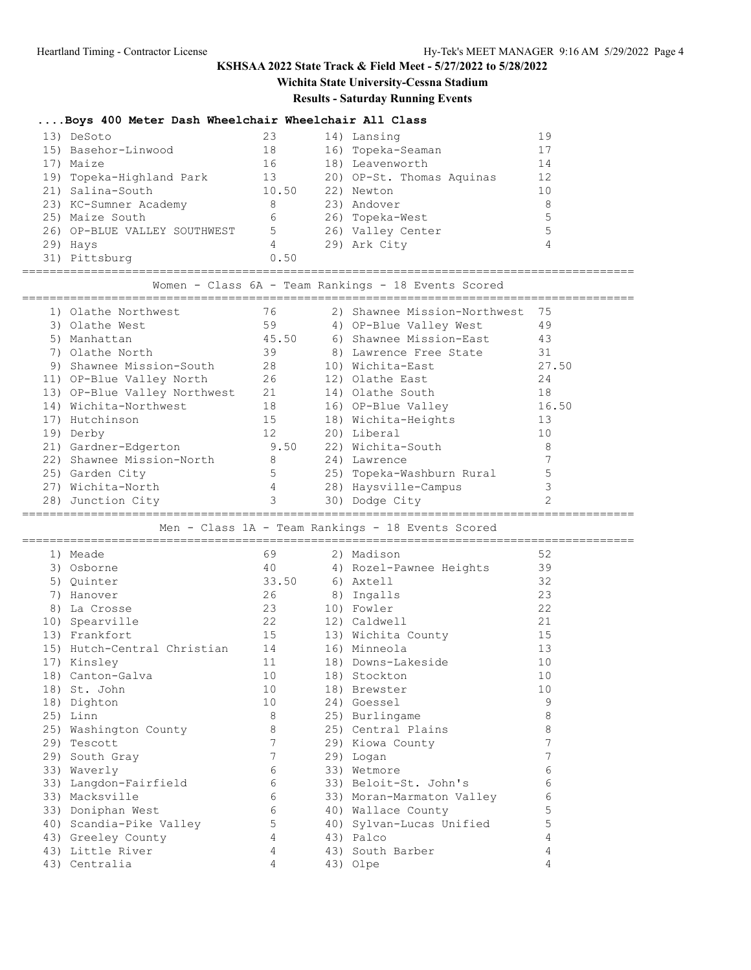# **Wichita State University-Cessna Stadium**

### **Results - Saturday Running Events**

### **....Boys 400 Meter Dash Wheelchair Wheelchair All Class**

| 13) DeSoto                   | 23    | 14) Lansing               | 19 |
|------------------------------|-------|---------------------------|----|
| 15) Basehor-Linwood          | 18    | 16) Topeka-Seaman         | 17 |
| 17) Maize                    | 16    | 18) Leavenworth           | 14 |
| 19) Topeka-Highland Park     | 13    | 20) OP-St. Thomas Aquinas | 12 |
| 21) Salina-South             | 10.50 | 22) Newton                | 10 |
| 23) KC-Sumner Academy        | 8     | 23) Andover               | 8  |
| 25) Maize South              | 6     | 26) Topeka-West           | 5  |
| 26) OP-BLUE VALLEY SOUTHWEST | 5     | 26) Valley Center         | 5  |
| 29) Hays                     | 4     | 29) Ark City              | 4  |
| 31) Pittsburg                | 0.50  |                           |    |

=========================================================================================

Women - Class 6A - Team Rankings - 18 Events Scored

|     | 1) Olathe Northwest          | 76    | 2) Shawnee Mission-Northwest | 75    |
|-----|------------------------------|-------|------------------------------|-------|
|     | 3) Olathe West               | 59    | 4) OP-Blue Valley West       | 49    |
|     | 5) Manhattan                 | 45.50 | 6) Shawnee Mission-East      | 43    |
|     | 7) Olathe North              | 39    | 8) Lawrence Free State       | 31    |
|     | 9) Shawnee Mission-South     | 28    | 10) Wichita-East             | 27.50 |
|     | 11) OP-Blue Valley North     | 26    | 12) Olathe East              | 24    |
|     | 13) OP-Blue Valley Northwest | 21    | 14) Olathe South             | 18    |
|     | 14) Wichita-Northwest        | 18    | 16) OP-Blue Valley           | 16.50 |
|     | 17) Hutchinson               | 15    | 18) Wichita-Heights          | 13    |
|     | 19) Derby                    | 12    | 20) Liberal                  | 10    |
|     | 21) Gardner-Edgerton         | 9.50  | 22) Wichita-South            | 8     |
|     | 22) Shawnee Mission-North    | 8     | 24) Lawrence                 |       |
|     | 25) Garden City              | 5     | 25) Topeka-Washburn Rural    |       |
| 27) | Wichita-North                | 4     | 28) Haysville-Campus         |       |
|     | 28) Junction City            | 3     | 30) Dodge City               |       |
|     |                              |       |                              |       |

#### ========================================================================================= Men - Class 1A - Team Rankings - 18 Events Scored

|    | 1) Meade                       | 69              | 2) Madison                    | 52 |
|----|--------------------------------|-----------------|-------------------------------|----|
|    | 3) Osborne                     |                 | 40 		 4) Rozel-Pawnee Heights | 39 |
|    | 5) Quinter                     | 33.50           | 6) Axtell                     | 32 |
| 7) | Hanover                        | 26 8) Ingalls   |                               | 23 |
|    | 8) La Crosse                   | 23              | 10) Fowler                    | 22 |
|    | 10) Spearville                 | 22              | 12) Caldwell                  | 21 |
|    | 13) Frankfort                  | 15              | 13) Wichita County            | 15 |
|    | 15) Hutch-Central Christian 14 |                 | 16) Minneola                  | 13 |
|    | 17) Kinsley                    | 11              | 18) Downs-Lakeside            | 10 |
|    | 18) Canton-Galva               | 10              | 18) Stockton                  | 10 |
|    | 18) St. John                   | 10              | 18) Brewster                  | 10 |
|    | 18) Dighton                    | 10              | 24) Goessel                   | 9  |
|    | 25) Linn                       | 8               | 25) Burlingame                | 8  |
|    | 25) Washington County          | 8               | 25) Central Plains            | 8  |
|    | 29) Tescott                    | $7\phantom{.0}$ | 29) Kiowa County              | 7  |
|    | 29) South Gray                 | $7\phantom{.0}$ | 29) Logan                     |    |
|    | 33) Waverly                    | 6               | 33) Wetmore                   | 6  |
|    | 33) Langdon-Fairfield          | 6               | 33) Beloit-St. John's         | 6  |
|    | 33) Macksville                 | 6               | 33) Moran-Marmaton Valley     | 6  |
|    | 33) Doniphan West              | 6               | 40) Wallace County            | 5  |
|    | 40) Scandia-Pike Valley        | 5               | 40) Sylvan-Lucas Unified      | 5  |
|    | 43) Greeley County             | $\overline{4}$  | 43) Palco                     | 4  |
|    | 43) Little River               | 4               | 43) South Barber              | 4  |
|    | 43) Centralia                  | 4               | 43) Olpe                      | 4  |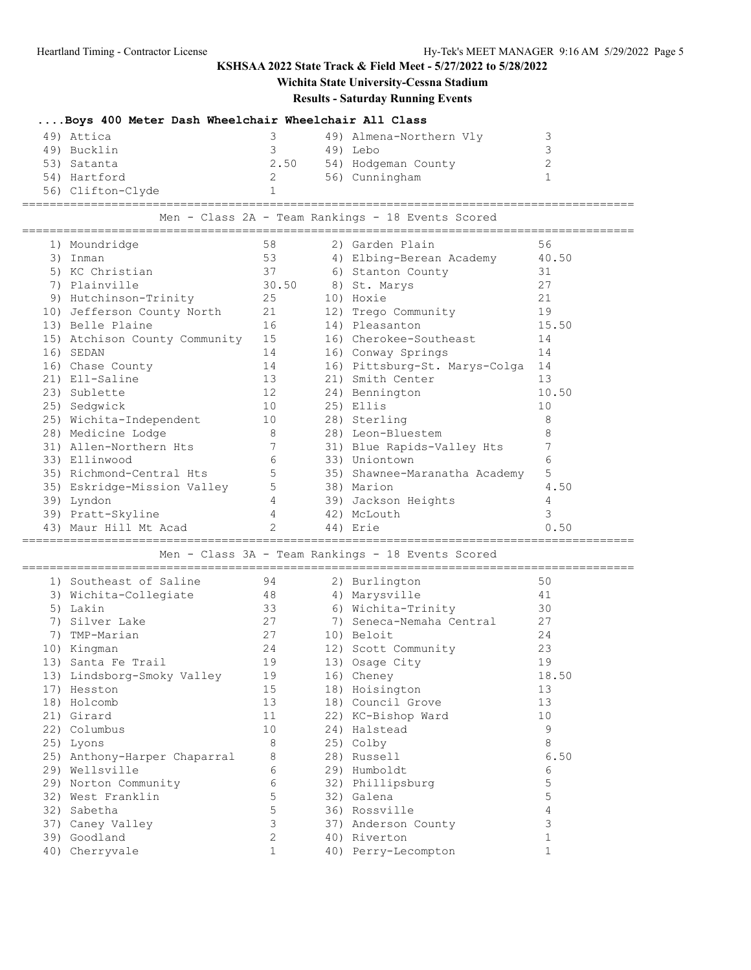# **Wichita State University-Cessna Stadium**

## **Results - Saturday Running Events**

| Boys 400 Meter Dash Wheelchair Wheelchair All Class |              |  |                                                   |                |  |  |
|-----------------------------------------------------|--------------|--|---------------------------------------------------|----------------|--|--|
| 49) Attica                                          | 3            |  | 49) Almena-Northern Vly                           | 3              |  |  |
| 49) Bucklin                                         | 3            |  | 49) Lebo                                          | 3              |  |  |
| 53) Satanta                                         | 2.50         |  | 54) Hodgeman County                               | $\overline{2}$ |  |  |
| 54) Hartford                                        | 2            |  | 56) Cunningham                                    | $\mathbf{1}$   |  |  |
| 56) Clifton-Clyde                                   | $\mathbf{1}$ |  |                                                   |                |  |  |
|                                                     |              |  | Men - Class 2A - Team Rankings - 18 Events Scored |                |  |  |
| 1) Moundridge                                       | 58           |  | 2) Garden Plain                                   | 56             |  |  |
| 3) Inman                                            | 53           |  | 4) Elbing-Berean Academy                          | 40.50          |  |  |
| 5) KC Christian                                     | 37           |  | 6) Stanton County                                 | 31             |  |  |
| 7) Plainville                                       | 30.50        |  | 8) St. Marys                                      | 27             |  |  |
| 9) Hutchinson-Trinity                               | 25           |  | 10) Hoxie                                         | 21             |  |  |
| 10) Jefferson County North                          | 21           |  | 12) Trego Community                               | 19             |  |  |
| 13) Belle Plaine                                    | 16           |  | 14) Pleasanton                                    | 15.50          |  |  |
| 15) Atchison County Community                       | 15           |  | 16) Cherokee-Southeast                            | 14             |  |  |
| 16) SEDAN                                           | 14           |  | 16) Conway Springs                                | 14             |  |  |
| 16) Chase County                                    | 14           |  | 16) Pittsburg-St. Marys-Colga 14                  |                |  |  |
| 21) Ell-Saline                                      | 13           |  | 21) Smith Center                                  | 13             |  |  |
| 23) Sublette                                        | 12           |  | 24) Bennington                                    | 10.50          |  |  |
| 25) Sedgwick                                        | 10           |  | 25) Ellis                                         | 10             |  |  |
| 25) Wichita-Independent                             | 10           |  | 28) Sterling                                      | 8              |  |  |
| 28) Medicine Lodge                                  | 8            |  | 28) Leon-Bluestem                                 | 8              |  |  |
| 31) Allen-Northern Hts                              | 7            |  | 31) Blue Rapids-Valley Hts                        | 7              |  |  |
| 33) Ellinwood                                       | 6            |  | 33) Uniontown                                     | 6              |  |  |
| 35) Richmond-Central Hts                            | 5            |  | 35) Shawnee-Maranatha Academy                     | 5              |  |  |
| 35) Eskridge-Mission Valley                         | 5            |  | 38) Marion                                        | 4.50           |  |  |
| 39) Lyndon                                          | 4            |  | 39) Jackson Heights                               | 4              |  |  |
| 39) Pratt-Skyline                                   | 4            |  | 42) McLouth                                       | 3              |  |  |
| 43) Maur Hill Mt Acad                               |              |  | 44) Erie                                          | 0.50           |  |  |
|                                                     |              |  | Men - Class 3A - Team Rankings - 18 Events Scored |                |  |  |
|                                                     |              |  |                                                   |                |  |  |
| 1) Southeast of Saline                              | 94           |  | 2) Burlington                                     | 50             |  |  |
| 3) Wichita-Collegiate                               | 48           |  | 4) Marysville                                     | 41             |  |  |
| 5) Lakin                                            | 33           |  | 6) Wichita-Trinity                                | 30             |  |  |
| 7) Silver Lake                                      | 27           |  | 7) Seneca-Nemaha Central                          | 27             |  |  |
| 7) TMP-Marian                                       | 27           |  | 10) Beloit                                        | 24<br>23       |  |  |
| 10) Kingman<br>13) Santa Fe Trail                   | 24<br>19     |  | 12) Scott Community<br>13) Osage City             | 19             |  |  |
|                                                     |              |  |                                                   |                |  |  |
| 13) Lindsborg-Smoky Valley<br>17) Hesston           | 19<br>15     |  | 16) Cheney<br>18) Hoisington                      | 18.50<br>13    |  |  |
| 18) Holcomb                                         | 13           |  | 18) Council Grove                                 | 13             |  |  |
| 21) Girard                                          | 11           |  | 22) KC-Bishop Ward                                | 10             |  |  |
| 22) Columbus                                        | 10           |  | 24) Halstead                                      | 9              |  |  |
|                                                     | 8            |  |                                                   | 8              |  |  |
| 25) Lyons<br>25) Anthony-Harper Chaparral           | 8            |  | 25) Colby<br>28) Russell                          | 6.50           |  |  |
| 29) Wellsville                                      | 6            |  | 29) Humboldt                                      | 6              |  |  |
| 29) Norton Community                                | 6            |  | 32) Phillipsburg                                  | 5              |  |  |
| 32) West Franklin                                   | 5            |  | 32) Galena                                        | 5              |  |  |
| 32) Sabetha                                         | 5            |  | 36) Rossville                                     | $\overline{4}$ |  |  |
| 37) Caney Valley                                    | 3            |  | 37) Anderson County                               | 3              |  |  |
| 39) Goodland                                        | 2            |  | 40) Riverton                                      | $\mathbf{1}$   |  |  |
| 40) Cherryvale                                      | $\mathbf{1}$ |  | 40) Perry-Lecompton                               | $\mathbf{1}$   |  |  |
|                                                     |              |  |                                                   |                |  |  |